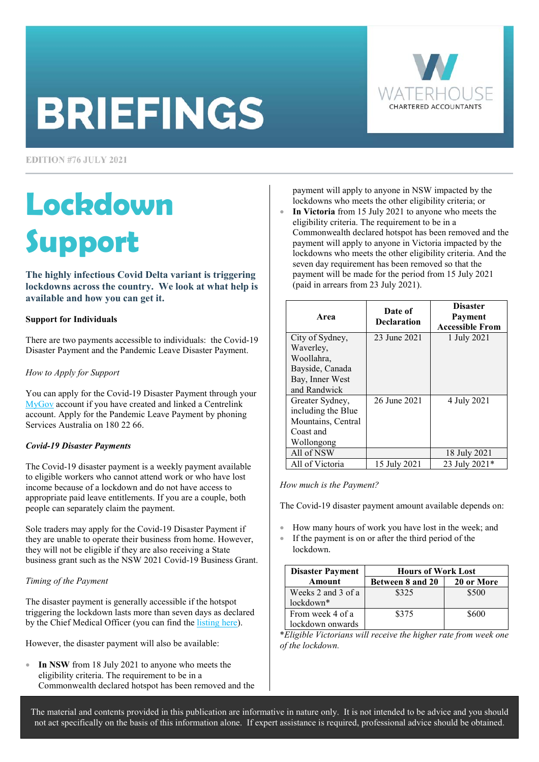# **BRIEFINGS**



**EDITION #76 JULY 2021** 

# **Lockdown Support**

**The highly infectious Covid Delta variant is triggering lockdowns across the country. We look at what help is available and how you can get it.** 

# **Support for Individuals**

There are two payments accessible to individuals: the Covid-19 Disaster Payment and the Pandemic Leave Disaster Payment.

# *How to Apply for Support*

You can apply for the Covid-19 Disaster Payment through your [MyGov a](https://my.gov.au/LoginServices/main/login?execution=e1s1)ccount if you have created and linked a Centrelink account. Apply for the Pandemic Leave Payment by phoning Services Australia on 180 22 66.

# *Covid-19 Disaster Payments*

The Covid-19 disaster payment is a weekly payment available to eligible workers who cannot attend work or who have lost income because of a lockdown and do not have access to appropriate paid leave entitlements. If you are a couple, both people can separately claim the payment.

Sole traders may apply for the Covid-19 Disaster Payment if they are unable to operate their business from home. However, they will not be eligible if they are also receiving a State business grant such as the NSW 2021 Covid-19 Business Grant.

# *Timing of the Payment*

The disaster payment is generally accessible if the hotspot triggering the lockdown lasts more than seven days as declared by the Chief Medical Officer (you can find the [listing here\).](https://www.health.gov.au/resources/publications/listing-areas-of-covid-19-local-transmission-as-hotspots) 

However, the disaster payment will also be available:

• **In NSW** from 18 July 2021 to anyone who meets the eligibility criteria. The requirement to be in a Commonwealth declared hotspot has been removed and the payment will apply to anyone in NSW impacted by the lockdowns who meets the other eligibility criteria; or

• **In Victoria** from 15 July 2021 to anyone who meets the eligibility criteria. The requirement to be in a Commonwealth declared hotspot has been removed and the payment will apply to anyone in Victoria impacted by the lockdowns who meets the other eligibility criteria. And the seven day requirement has been removed so that the payment will be made for the period from 15 July 2021 (paid in arrears from 23 July 2021).

| Area               | Date of<br><b>Declaration</b> | <b>Disaster</b><br>Payment<br><b>Accessible From</b> |
|--------------------|-------------------------------|------------------------------------------------------|
| City of Sydney,    | 23 June 2021                  | 1 July 2021                                          |
| Waverley,          |                               |                                                      |
| Woollahra.         |                               |                                                      |
| Bayside, Canada    |                               |                                                      |
| Bay, Inner West    |                               |                                                      |
| and Randwick       |                               |                                                      |
| Greater Sydney,    | 26 June 2021                  | 4 July 2021                                          |
| including the Blue |                               |                                                      |
| Mountains, Central |                               |                                                      |
| Coast and          |                               |                                                      |
| Wollongong         |                               |                                                      |
| All of NSW         |                               | 18 July 2021                                         |
| All of Victoria    | 15 July 2021                  | 23 July 2021*                                        |

# *How much is the Payment?*

The Covid-19 disaster payment amount available depends on:

- How many hours of work you have lost in the week; and
- If the payment is on or after the third period of the lockdown.

| <b>Disaster Payment</b> | <b>Hours of Work Lost</b> |            |  |
|-------------------------|---------------------------|------------|--|
| Amount                  | Between 8 and 20          | 20 or More |  |
| Weeks 2 and 3 of a      | \$325                     | \$500      |  |
| lockdown*               |                           |            |  |
| From week 4 of a        | \$375                     | \$600      |  |
| lockdown onwards        |                           |            |  |

\**Eligible Victorians will receive the higher rate from week one of the lockdown.* 

The material and contents provided in this publication are informative in nature only. It is not intended to be advice and you should not act specifically on the basis of this information alone. If expert assistance is required, professional advice should be obtained.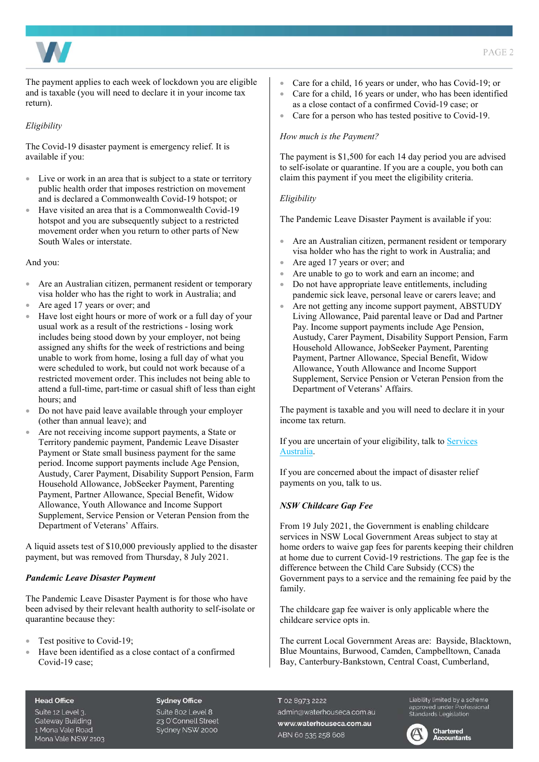

The payment applies to each week of lockdown you are eligible and is taxable (you will need to declare it in your income tax return).

#### *Eligibility*

The Covid-19 disaster payment is emergency relief. It is available if you:

- Live or work in an area that is subject to a state or territory public health order that imposes restriction on movement and is declared a Commonwealth Covid-19 hotspot; or
- Have visited an area that is a Commonwealth Covid-19 hotspot and you are subsequently subject to a restricted movement order when you return to other parts of New South Wales or interstate.

And you:

- Are an Australian citizen, permanent resident or temporary visa holder who has the right to work in Australia; and
- Are aged 17 years or over; and
- Have lost eight hours or more of work or a full day of your usual work as a result of the restrictions - losing work includes being stood down by your employer, not being assigned any shifts for the week of restrictions and being unable to work from home, losing a full day of what you were scheduled to work, but could not work because of a restricted movement order. This includes not being able to attend a full-time, part-time or casual shift of less than eight hours; and
- Do not have paid leave available through your employer (other than annual leave); and
- Are not receiving income support payments, a State or Territory pandemic payment, Pandemic Leave Disaster Payment or State small business payment for the same period. Income support payments include Age Pension, Austudy, Carer Payment, Disability Support Pension, Farm Household Allowance, JobSeeker Payment, Parenting Payment, Partner Allowance, Special Benefit, Widow Allowance, Youth Allowance and Income Support Supplement, Service Pension or Veteran Pension from the Department of Veterans' Affairs.

A liquid assets test of \$10,000 previously applied to the disaster payment, but was removed from Thursday, 8 July 2021.

#### *Pandemic Leave Disaster Payment*

The Pandemic Leave Disaster Payment is for those who have been advised by their relevant health authority to self-isolate or quarantine because they:

- Test positive to Covid-19;
- Have been identified as a close contact of a confirmed Covid-19 case;
- Care for a child, 16 years or under, who has Covid-19; or
- Care for a child, 16 years or under, who has been identified as a close contact of a confirmed Covid-19 case; or
- Care for a person who has tested positive to Covid-19.

#### *How much is the Payment?*

The payment is \$1,500 for each 14 day period you are advised to self-isolate or quarantine. If you are a couple, you both can claim this payment if you meet the eligibility criteria.

#### *Eligibility*

The Pandemic Leave Disaster Payment is available if you:

- Are an Australian citizen, permanent resident or temporary visa holder who has the right to work in Australia; and
- Are aged 17 years or over; and
- Are unable to go to work and earn an income; and
- Do not have appropriate leave entitlements, including pandemic sick leave, personal leave or carers leave; and
- Are not getting any income support payment, ABSTUDY Living Allowance, Paid parental leave or Dad and Partner Pay. Income support payments include Age Pension, Austudy, Carer Payment, Disability Support Pension, Farm Household Allowance, JobSeeker Payment, Parenting Payment, Partner Allowance, Special Benefit, Widow Allowance, Youth Allowance and Income Support Supplement, Service Pension or Veteran Pension from the Department of Veterans' Affairs.

The payment is taxable and you will need to declare it in your income tax return.

If you are uncertain of your eligibility, talk to Services Australia.

If you are concerned about the impact of disaster relief payments on you, talk to us.

#### *NSW Childcare Gap Fee*

From 19 July 2021, the Government is enabling childcare services in NSW Local Government Areas subject to stay at home orders to waive gap fees for parents keeping their children at home due to current Covid-19 restrictions. The gap fee is the difference between the Child Care Subsidy (CCS) the Government pays to a service and the remaining fee paid by the family.

The childcare gap fee waiver is only applicable where the childcare service opts in.

The current Local Government Areas are: Bayside, Blacktown, Blue Mountains, Burwood, Camden, Campbelltown, Canada Bay, Canterbury-Bankstown, Central Coast, Cumberland,

#### **Head Office**

Suite 12 Level 3. **Gateway Building** 1 Mona Vale Road Mona Vale NSW 2103 **Sydney Office** Suite 802 Level 8 23 O'Connell Street Sydney NSW 2000

T 02 8973 2222 admin@waterhouseca.com.au www.waterhouseca.com.au ABN 60 535 258 608

Liability limited by a scheme Elebrity immedibly a scrieme<br>approved under Professional<br>Standards Legislation

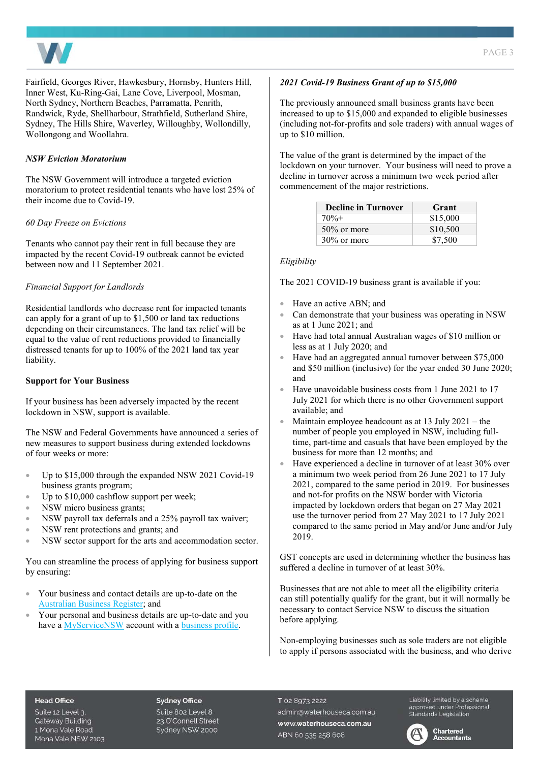

Fairfield, Georges River, Hawkesbury, Hornsby, Hunters Hill, Inner West, Ku-Ring-Gai, Lane Cove, Liverpool, Mosman, North Sydney, Northern Beaches, Parramatta, Penrith, Randwick, Ryde, Shellharbour, Strathfield, Sutherland Shire, Sydney, The Hills Shire, Waverley, Willoughby, Wollondilly, Wollongong and Woollahra.

# *NSW Eviction Moratorium*

The NSW Government will introduce a targeted eviction moratorium to protect residential tenants who have lost 25% of their income due to Covid-19.

# *60 Day Freeze on Evictions*

Tenants who cannot pay their rent in full because they are impacted by the recent Covid-19 outbreak cannot be evicted between now and 11 September 2021.

# *Financial Support for Landlords*

Residential landlords who decrease rent for impacted tenants can apply for a grant of up to \$1,500 or land tax reductions depending on their circumstances. The land tax relief will be equal to the value of rent reductions provided to financially distressed tenants for up to 100% of the 2021 land tax year liability.

#### **Support for Your Business**

If your business has been adversely impacted by the recent lockdown in NSW, support is available.

The NSW and Federal Governments have announced a series of new measures to support business during extended lockdowns of four weeks or more:

- Up to \$15,000 through the expanded NSW 2021 Covid-19 business grants program;
- Up to \$10,000 cashflow support per week;
- NSW micro business grants;
- NSW payroll tax deferrals and a 25% payroll tax waiver;
- NSW rent protections and grants; and
- NSW sector support for the arts and accommodation sector.

You can streamline the process of applying for business support by ensuring:

- Your business and contact details are up-to-date on the [Australian Business Register;](https://www.abr.gov.au/) and
- Your personal and business details are up-to-date and you have [a MyServiceNSW a](https://api.service.nsw.gov.au/as/authorization.oauth2?client_id=apigee_myaccount&response_type=code&scope=openid%20profile%20email&redirect_uri=https://api.g.service.nsw.gov.au/v1/identity/oauth/callback&state=rrt-3315483909803472138-c-gsy1-19349-2116554-1&nonce=V1tCkBF5Jw7yF0wluQ_fHnvIUwqG76T4BrPQyj2TNJY&code_challenge=xBxy8hUxiG4xjCgy0TZnVy8Eot5J2XWTqyZj_YhSaLw&code_challenge_method=S256#/email)ccount with a business profile.

#### *2021 Covid-19 Business Grant of up to \$15,000*

The previously announced small business grants have been increased to up to \$15,000 and expanded to eligible businesses (including not-for-profits and sole traders) with annual wages of up to \$10 million.

The value of the grant is determined by the impact of the lockdown on your turnover. Your business will need to prove a decline in turnover across a minimum two week period after commencement of the major restrictions.

| <b>Decline in Turnover</b> | Grant    |
|----------------------------|----------|
| $70% +$                    | \$15,000 |
| $50\%$ or more             | \$10,500 |
| $30\%$ or more             | \$7,500  |

### *Eligibility*

The 2021 COVID-19 business grant is available if you:

- Have an active ABN; and
- Can demonstrate that your business was operating in NSW as at 1 June 2021; and
- Have had total annual Australian wages of \$10 million or less as at 1 July 2020; and
- Have had an aggregated annual turnover between \$75,000 and \$50 million (inclusive) for the year ended 30 June 2020; and
- Have unavoidable business costs from 1 June 2021 to 17 July 2021 for which there is no other Government support available; and
- Maintain employee headcount as at  $13$  July  $2021$  the number of people you employed in NSW, including fulltime, part-time and casuals that have been employed by the business for more than 12 months; and
- Have experienced a decline in turnover of at least 30% over a minimum two week period from 26 June 2021 to 17 July 2021, compared to the same period in 2019. For businesses and not-for profits on the NSW border with Victoria impacted by lockdown orders that began on 27 May 2021 use the turnover period from 27 May 2021 to 17 July 2021 compared to the same period in May and/or June and/or July 2019.

GST concepts are used in determining whether the business has suffered a decline in turnover of at least 30%.

Businesses that are not able to meet all the eligibility criteria can still potentially qualify for the grant, but it will normally be necessary to contact Service NSW to discuss the situation before applying.

Non-employing businesses such as sole traders are not eligible to apply if persons associated with the business, and who derive

#### **Head Office**

Suite 12 Level 3. **Gateway Building** 1 Mona Vale Road Mona Vale NSW 2103

#### **Sydney Office**

Suite 802 Level 8 23 O'Connell Street Sydney NSW 2000 T 02 8973 2222 admin@waterhouseca.com.au www.waterhouseca.com.au ABN 60 535 258 608

Liability limited by a scheme 

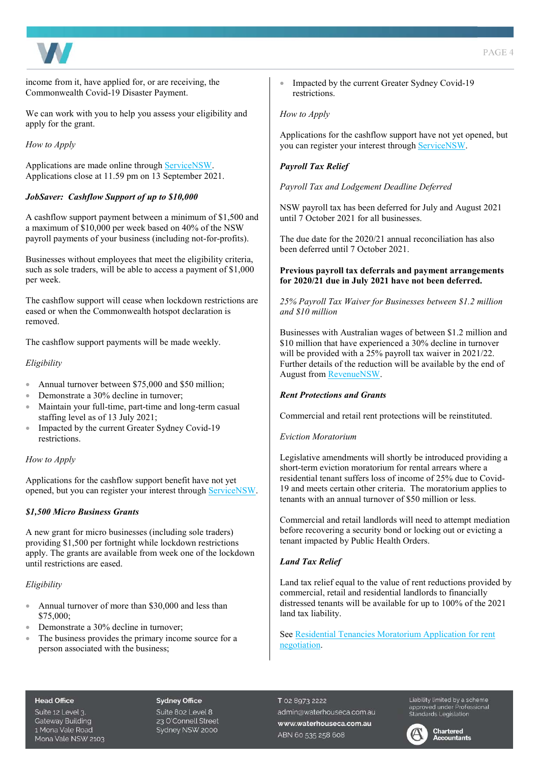

income from it, have applied for, or are receiving, the Commonwealth Covid-19 Disaster Payment.

We can work with you to help you assess your eligibility and apply for the grant.

*How to Apply* 

Applications are made online throug[h ServiceNSW.](https://www.service.nsw.gov.au/transaction/2021-covid-19-business-grant)  Applications close at 11.59 pm on 13 September 2021.

# *JobSaver: Cashflow Support of up to \$10,000*

A cashflow support payment between a minimum of \$1,500 and a maximum of \$10,000 per week based on 40% of the NSW payroll payments of your business (including not-for-profits).

Businesses without employees that meet the eligibility criteria, such as sole traders, will be able to access a payment of \$1,000 per week.

The cashflow support will cease when lockdown restrictions are eased or when the Commonwealth hotspot declaration is removed.

The cashflow support payments will be made weekly.

# *Eligibility*

- Annual turnover between \$75,000 and \$50 million:
- Demonstrate a 30% decline in turnover;
- Maintain your full-time, part-time and long-term casual staffing level as of 13 July 2021;
- Impacted by the current Greater Sydney Covid-19 restrictions.

#### *How to Apply*

Applications for the cashflow support benefit have not yet opened, but you can register your interest through [ServiceNSW.](https://www.service.nsw.gov.au/covid-19-business-support-2021) 

# *\$1,500 Micro Business Grants*

A new grant for micro businesses (including sole traders) providing \$1,500 per fortnight while lockdown restrictions apply. The grants are available from week one of the lockdown until restrictions are eased.

# *Eligibility*

- Annual turnover of more than \$30,000 and less than \$75,000;
- Demonstrate a 30% decline in turnover;
- The business provides the primary income source for a person associated with the business;

Impacted by the current Greater Sydney Covid-19 restrictions.

#### *How to Apply*

Applications for the cashflow support have not yet opened, but you can register your interest through [ServiceNSW.](https://www.service.nsw.gov.au/covid-19-business-support-2021) 

# *Payroll Tax Relief*

*Payroll Tax and Lodgement Deadline Deferred* 

NSW payroll tax has been deferred for July and August 2021 until 7 October 2021 for all businesses.

The due date for the 2020/21 annual reconciliation has also been deferred until 7 October 2021.

#### **Previous payroll tax deferrals and payment arrangements for 2020/21 due in July 2021 have not been deferred.**

*25% Payroll Tax Waiver for Businesses between \$1.2 million and \$10 million* 

Businesses with Australian wages of between \$1.2 million and \$10 million that have experienced a 30% decline in turnover will be provided with a 25% payroll tax waiver in 2021/22. Further details of the reduction will be available by the end of August fro[m RevenueNSW.](https://www.revenue.nsw.gov.au/news-media-releases/covid-19-tax-relief-measures/covid-19-coronavirus-and-payroll-tax) 

#### *Rent Protections and Grants*

Commercial and retail rent protections will be reinstituted.

#### *Eviction Moratorium*

Legislative amendments will shortly be introduced providing a short-term eviction moratorium for rental arrears where a residential tenant suffers loss of income of 25% due to Covid-19 and meets certain other criteria. The moratorium applies to tenants with an annual turnover of \$50 million or less.

Commercial and retail landlords will need to attempt mediation before recovering a security bond or locking out or evicting a tenant impacted by Public Health Orders.

# *Land Tax Relief*

Land tax relief equal to the value of rent reductions provided by commercial, retail and residential landlords to financially distressed tenants will be available for up to 100% of the 2021 land tax liability.

[See Residential Tenancies Moratorium Application for rent](https://www.fairtrading.nsw.gov.au/__data/assets/pdf_file/0008/909728/Application-for-rent-negotiation.pdf)  negotiation.

#### **Head Office**

Suite 12 Level 3. **Gateway Building** 1 Mona Vale Road Mona Vale NSW 2103

#### **Sydney Office**

Suite 802 Level 8 23 O'Connell Street Sydney NSW 2000

T 02 8973 2222 admin@waterhouseca.com.au www.waterhouseca.com.au ABN 60 535 258 608

Liability limited by a scheme 

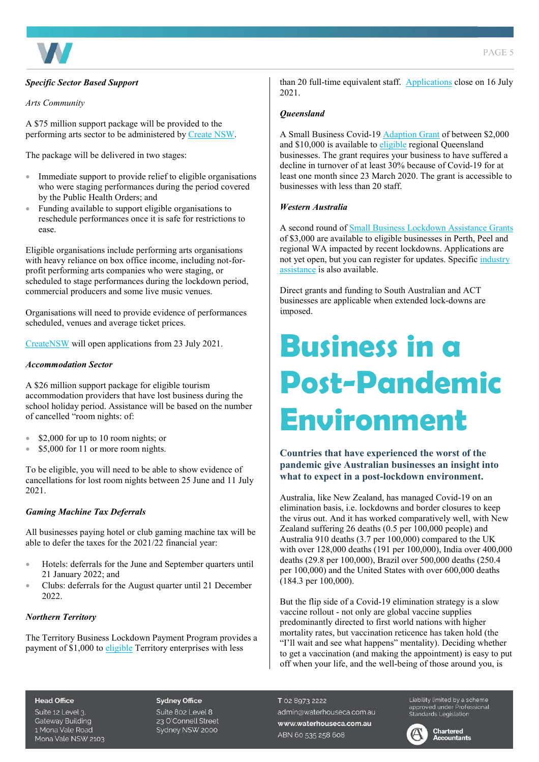

# *Specific Sector Based Support*

#### *Arts Community*

A \$75 million support package will be provided to the performing arts sector to be administered b[y Create NSW.](https://www.create.nsw.gov.au/news-and-publications/news/75-million-stimulus-package-for-performing-arts-and-live-music-sector/) 

The package will be delivered in two stages:

- Immediate support to provide relief to eligible organisations who were staging performances during the period covered by the Public Health Orders; and
- Funding available to support eligible organisations to reschedule performances once it is safe for restrictions to ease.

Eligible organisations include performing arts organisations with heavy reliance on box office income, including not-forprofit performing arts companies who were staging, or scheduled to stage performances during the lockdown period, commercial producers and some live music venues.

Organisations will need to provide evidence of performances scheduled, venues and average ticket prices.

[CreateNSW](https://www.create.nsw.gov.au/category/funding-and-support/) will open applications from 23 July 2021.

### *Accommodation Sector*

A \$26 million support package for eligible tourism accommodation providers that have lost business during the school holiday period. Assistance will be based on the number of cancelled "room nights: of:

- \$2,000 for up to 10 room nights; or
- \$5,000 for 11 or more room nights.

To be eligible, you will need to be able to show evidence of cancellations for lost room nights between 25 June and 11 July 2021.

# *Gaming Machine Tax Deferrals*

All businesses paying hotel or club gaming machine tax will be able to defer the taxes for the 2021/22 financial year:

- Hotels: deferrals for the June and September quarters until 21 January 2022; and
- Clubs: deferrals for the August quarter until 21 December 2022.

#### *Northern Territory*

The Territory Business Lockdown Payment Program provides a payment of \$1,000 to [eligible T](https://businessrecovery.nt.gov.au/terms-and-conditions)erritory enterprises with less

than 20 full-time equivalent staff. [Applications](https://businessnt.smartygrants.com.au/lockdownpayment) close on 16 July 2021.

#### *Queensland*

A Small Business Covid-19 [Adaption Grant o](https://www.business.qld.gov.au/starting-business/advice-support/grants/adaption)f between \$2,000 and \$10,000 is available t[o eligible r](https://www.business.qld.gov.au/starting-business/advice-support/grants/adaption#eligibility)egional Queensland businesses. The grant requires your business to have suffered a decline in turnover of at least 30% because of Covid-19 for at least one month since 23 March 2020. The grant is accessible to businesses with less than 20 staff.

#### *Western Australia*

A second round of **Small Business Lockdown Assistance Grants** of \$3,000 are available to eligible businesses in Perth, Peel and regional WA impacted by recent lockdowns. Applications are not yet open, but you can register for updates. Specific *industry* [assistance i](https://www.wa.gov.au/organisation/department-of-the-premier-and-cabinet/covid-19-coronavirus-support-business)s also available.

Direct grants and funding to South Australian and ACT businesses are applicable when extended lock-downs are imposed.

# **Business in a Post-Pandemic Environment**

# **Countries that have experienced the worst of the pandemic give Australian businesses an insight into what to expect in a post-lockdown environment.**

Australia, like New Zealand, has managed Covid-19 on an elimination basis, i.e. lockdowns and border closures to keep the virus out. And it has worked comparatively well, with New Zealand suffering 26 deaths (0.5 per 100,000 people) and Australia 910 deaths (3.7 per 100,000) compared to the UK with over 128,000 deaths (191 per 100,000), India over 400,000 deaths (29.8 per 100,000), Brazil over 500,000 deaths (250.4 per 100,000) and the United States with over 600,000 deaths (184.3 per 100,000).

But the flip side of a Covid-19 elimination strategy is a slow vaccine rollout - not only are global vaccine supplies predominantly directed to first world nations with higher mortality rates, but vaccination reticence has taken hold (the "I'll wait and see what happens" mentality). Deciding whether to get a vaccination (and making the appointment) is easy to put off when your life, and the well-being of those around you, is

#### **Head Office**

Suite 12 Level 3. **Gateway Building** 1 Mona Vale Road Mona Vale NSW 2103

#### **Sydney Office**

Suite 802 Level 8 23 O'Connell Street Sydney NSW 2000 T 02 8973 2222 admin@waterhouseca.com.au www.waterhouseca.com.au ABN 60 535 258 608

Liability limited by a scheme approved under Professional<br>Standards Legislation

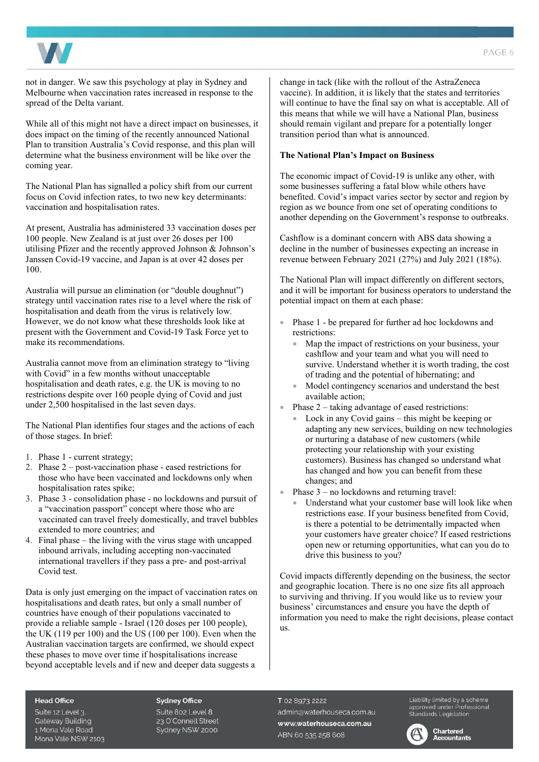



not in danger. We saw this psychology at play in Sydney and Melbourne when vaccination rates increased in response to the spread of the Delta variant.

While all of this might not have a direct impact on businesses, it does impact on the timing of the recently announced National Plan to transition Australia's Covid response, and this plan will determine what the business environment will be like over the coming year.

The National Plan has signalled a policy shift from our current focus on Covid infection rates, to two new key determinants: vaccination and hospitalisation rates.

At present, Australia has administered 33 vaccination doses per 100 people. New Zealand is at just over 26 doses per 100 utilising Pfizer and the recently approved Johnson & Johnson's Janssen Covid-19 vaccine, and Japan is at over 42 doses per 100.

Australia will pursue an elimination (or "double doughnut") strategy until vaccination rates rise to a level where the risk of hospitalisation and death from the virus is relatively low. However, we do not know what these thresholds look like at present with the Government and Covid-19 Task Force yet to make its recommendations.

Australia cannot move from an elimination strategy to "living with Covid" in a few months without unacceptable hospitalisation and death rates, e.g. the UK is moving to no restrictions despite over 160 people dying of Covid and just under 2,500 hospitalised in the last seven days.

The National Plan identifies four stages and the actions of each of those stages. In brief:

- 1. Phase 1 current strategy;
- 2. Phase 2 post-vaccination phase eased restrictions for those who have been vaccinated and lockdowns only when hospitalisation rates spike;
- 3. Phase 3 consolidation phase no lockdowns and pursuit of a "vaccination passport" concept where those who are vaccinated can travel freely domestically, and travel bubbles extended to more countries; and
- 4. Final phase the living with the virus stage with uncapped inbound arrivals, including accepting non-vaccinated international travellers if they pass a pre- and post-arrival Covid test.

Data is only just emerging on the impact of vaccination rates on hospitalisations and death rates, but only a small number of countries have enough of their populations vaccinated to provide a reliable sample - Israel (120 doses per 100 people), the UK (119 per 100) and the US (100 per 100). Even when the Australian vaccination targets are confirmed, we should expect these phases to move over time if hospitalisations increase beyond acceptable levels and if new and deeper data suggests a

change in tack (like with the rollout of the AstraZeneca vaccine). In addition, it is likely that the states and territories will continue to have the final say on what is acceptable. All of this means that while we will have a National Plan, business should remain vigilant and prepare for a potentially longer transition period than what is announced.

### **The National Plan's Impact on Business**

The economic impact of Covid-19 is unlike any other, with some businesses suffering a fatal blow while others have benefited. Covid's impact varies sector by sector and region by region as we bounce from one set of operating conditions to another depending on the Government's response to outbreaks.

Cashflow is a dominant concern with ABS data showing a decline in the number of businesses expecting an increase in revenue between February 2021 (27%) and July 2021 (18%).

The National Plan will impact differently on different sectors, and it will be important for business operators to understand the potential impact on them at each phase:

- Phase 1 be prepared for further ad hoc lockdowns and restrictions:
	- Map the impact of restrictions on your business, your cashflow and your team and what you will need to survive. Understand whether it is worth trading, the cost of trading and the potential of hibernating; and
	- Model contingency scenarios and understand the best available action;
- Phase  $2 -$  taking advantage of eased restrictions:
	- Lock in any Covid gains this might be keeping or adapting any new services, building on new technologies or nurturing a database of new customers (while protecting your relationship with your existing customers). Business has changed so understand what has changed and how you can benefit from these changes; and
- Phase  $3$  no lockdowns and returning travel:
	- Understand what your customer base will look like when restrictions ease. If your business benefited from Covid, is there a potential to be detrimentally impacted when your customers have greater choice? If eased restrictions open new or returning opportunities, what can you do to drive this business to you?

Covid impacts differently depending on the business, the sector and geographic location. There is no one size fits all approach to surviving and thriving. If you would like us to review your business' circumstances and ensure you have the depth of information you need to make the right decisions, please contact us.

#### **Head Office**

Suite 12 Level 3. **Gateway Building** 1 Mona Vale Road Mona Vale NSW 2103

#### **Sydney Office**

Suite 802 Level 8 23 O'Connell Street Sydney NSW 2000

T 02 8973 2222 admin@waterhouseca.com.au www.waterhouseca.com.au ABN 60 535 258 608

Liability limited by a scheme approved under Professional<br>Standards Legislation



#### **Chartered Accountants**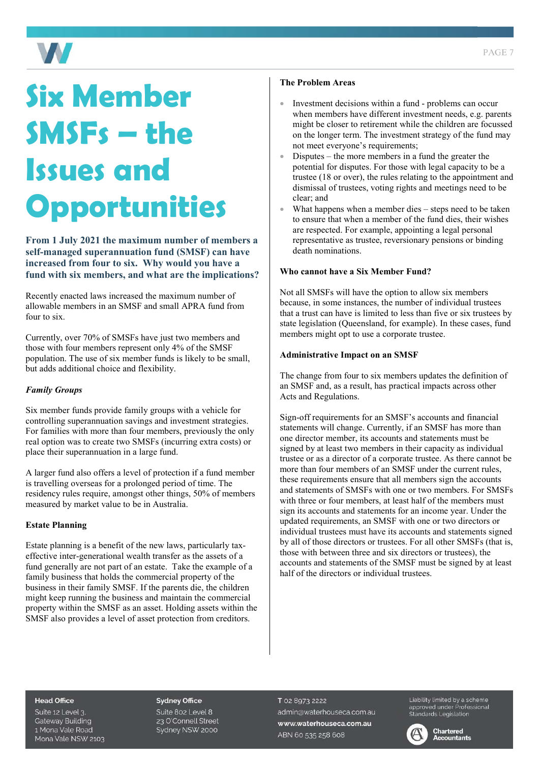

# **Six Member SMSFs – the Issues and Opportunities**

**From 1 July 2021 the maximum number of members a self-managed superannuation fund (SMSF) can have increased from four to six. Why would you have a fund with six members, and what are the implications?** 

Recently enacted laws increased the maximum number of allowable members in an SMSF and small APRA fund from four to six.

Currently, over 70% of SMSFs have just two members and those with four members represent only 4% of the SMSF population. The use of six member funds is likely to be small, but adds additional choice and flexibility.

# *Family Groups*

Six member funds provide family groups with a vehicle for controlling superannuation savings and investment strategies. For families with more than four members, previously the only real option was to create two SMSFs (incurring extra costs) or place their superannuation in a large fund.

A larger fund also offers a level of protection if a fund member is travelling overseas for a prolonged period of time. The residency rules require, amongst other things, 50% of members measured by market value to be in Australia.

# **Estate Planning**

Estate planning is a benefit of the new laws, particularly taxeffective inter-generational wealth transfer as the assets of a fund generally are not part of an estate. Take the example of a family business that holds the commercial property of the business in their family SMSF. If the parents die, the children might keep running the business and maintain the commercial property within the SMSF as an asset. Holding assets within the SMSF also provides a level of asset protection from creditors.

### **The Problem Areas**

- Investment decisions within a fund problems can occur when members have different investment needs, e.g. parents might be closer to retirement while the children are focussed on the longer term. The investment strategy of the fund may not meet everyone's requirements;
- Disputes the more members in a fund the greater the potential for disputes. For those with legal capacity to be a trustee (18 or over), the rules relating to the appointment and dismissal of trustees, voting rights and meetings need to be clear; and
- What happens when a member dies  $-$  steps need to be taken to ensure that when a member of the fund dies, their wishes are respected. For example, appointing a legal personal representative as trustee, reversionary pensions or binding death nominations.

# **Who cannot have a Six Member Fund?**

Not all SMSFs will have the option to allow six members because, in some instances, the number of individual trustees that a trust can have is limited to less than five or six trustees by state legislation (Queensland, for example). In these cases, fund members might opt to use a corporate trustee.

#### **Administrative Impact on an SMSF**

The change from four to six members updates the definition of an SMSF and, as a result, has practical impacts across other Acts and Regulations.

Sign-off requirements for an SMSF's accounts and financial statements will change. Currently, if an SMSF has more than one director member, its accounts and statements must be signed by at least two members in their capacity as individual trustee or as a director of a corporate trustee. As there cannot be more than four members of an SMSF under the current rules, these requirements ensure that all members sign the accounts and statements of SMSFs with one or two members. For SMSFs with three or four members, at least half of the members must sign its accounts and statements for an income year. Under the updated requirements, an SMSF with one or two directors or individual trustees must have its accounts and statements signed by all of those directors or trustees. For all other SMSFs (that is, those with between three and six directors or trustees), the accounts and statements of the SMSF must be signed by at least half of the directors or individual trustees.

#### **Head Office**

Suite 12 Level 3. **Gateway Building** 1 Mona Vale Road Mona Vale NSW 2103

#### **Sydney Office**

Suite 802 Level 8 23 O'Connell Street Sydney NSW 2000 T 02 8973 2222 admin@waterhouseca.com.au www.waterhouseca.com.au ABN 60 535 258 608

Liability limited by a scheme Elebrity immedibly a scrieme<br>approved under Professional<br>Standards Legislation